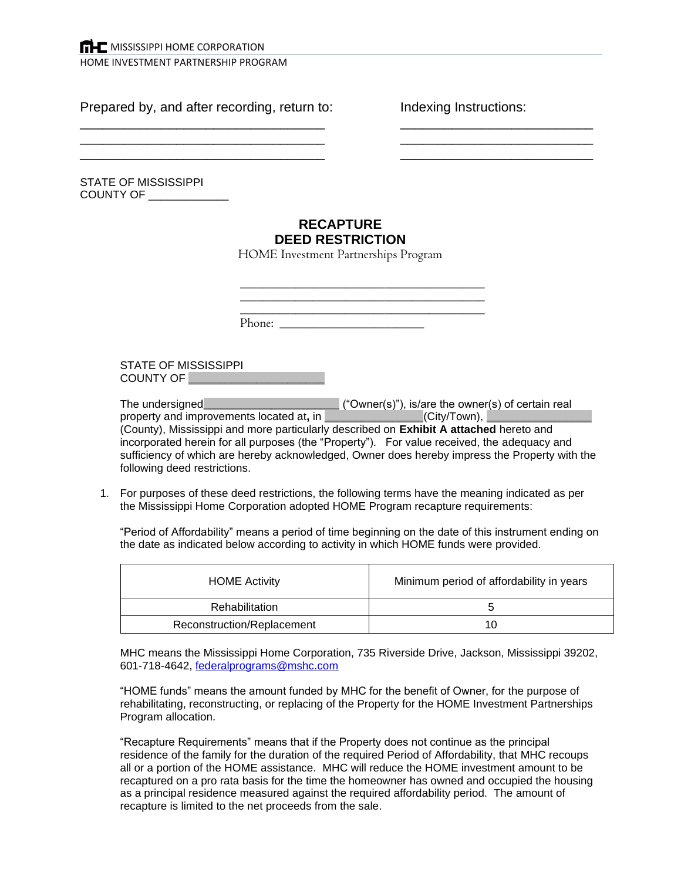Prepared by, and after recording, return to: Indexing Instructions:

following deed restrictions.

STATE OF MISSISSIPPI COUNTY OF \_\_\_\_\_\_\_\_\_\_\_\_\_

## **RECAPTURE DEED RESTRICTION**

 $\overline{\phantom{a}}$  , and the contribution of the contribution of the contribution of  $\overline{\phantom{a}}$  ,  $\overline{\phantom{a}}$  ,  $\overline{\phantom{a}}$  ,  $\overline{\phantom{a}}$  ,  $\overline{\phantom{a}}$  ,  $\overline{\phantom{a}}$  ,  $\overline{\phantom{a}}$  ,  $\overline{\phantom{a}}$  ,  $\overline{\phantom{a}}$  ,  $\overline{\phantom{a}}$  ,  $\over$  $\overline{a}$  , and the contribution of the contribution of the contribution of the contribution of the contribution of the contribution of the contribution of the contribution of the contribution of the contribution of the co  $\overline{a}$  , and the contribution of the contribution of the contribution of the contribution of the contribution of the contribution of the contribution of the contribution of the contribution of the contribution of the co

HOME Investment Partnerships Program

|                                   | Phone: $\overline{\phantom{a}}$ |                                                                                                                                                                                                                                                                                                                                                                                   |  |
|-----------------------------------|---------------------------------|-----------------------------------------------------------------------------------------------------------------------------------------------------------------------------------------------------------------------------------------------------------------------------------------------------------------------------------------------------------------------------------|--|
| STATE OF MISSISSIPPI<br>COUNTY OF |                                 |                                                                                                                                                                                                                                                                                                                                                                                   |  |
|                                   |                                 | property and improvements located at, in _________________(City/Town), _________<br>(County), Mississippi and more particularly described on <b>Exhibit A attached</b> hereto and<br>incorporated herein for all purposes (the "Property"). For value received, the adequacy and<br>sufficiency of which are hereby acknowledged, Owner does hereby impress the Property with the |  |

1. For purposes of these deed restrictions, the following terms have the meaning indicated as per the Mississippi Home Corporation adopted HOME Program recapture requirements:

"Period of Affordability" means a period of time beginning on the date of this instrument ending on the date as indicated below according to activity in which HOME funds were provided.

| <b>HOME Activity</b>       | Minimum period of affordability in years |
|----------------------------|------------------------------------------|
| Rehabilitation             | G                                        |
| Reconstruction/Replacement | 10                                       |

MHC means the Mississippi Home Corporation, 735 Riverside Drive, Jackson, Mississippi 39202, 601-718-4642, [federalprograms@mshc.com](mailto:federalprograms@mshc.com)

"HOME funds" means the amount funded by MHC for the benefit of Owner, for the purpose of rehabilitating, reconstructing, or replacing of the Property for the HOME Investment Partnerships Program allocation.

"Recapture Requirements" means that if the Property does not continue as the principal residence of the family for the duration of the required Period of Affordability, that MHC recoups all or a portion of the HOME assistance. MHC will reduce the HOME investment amount to be recaptured on a pro rata basis for the time the homeowner has owned and occupied the housing as a principal residence measured against the required affordability period. The amount of recapture is limited to the net proceeds from the sale.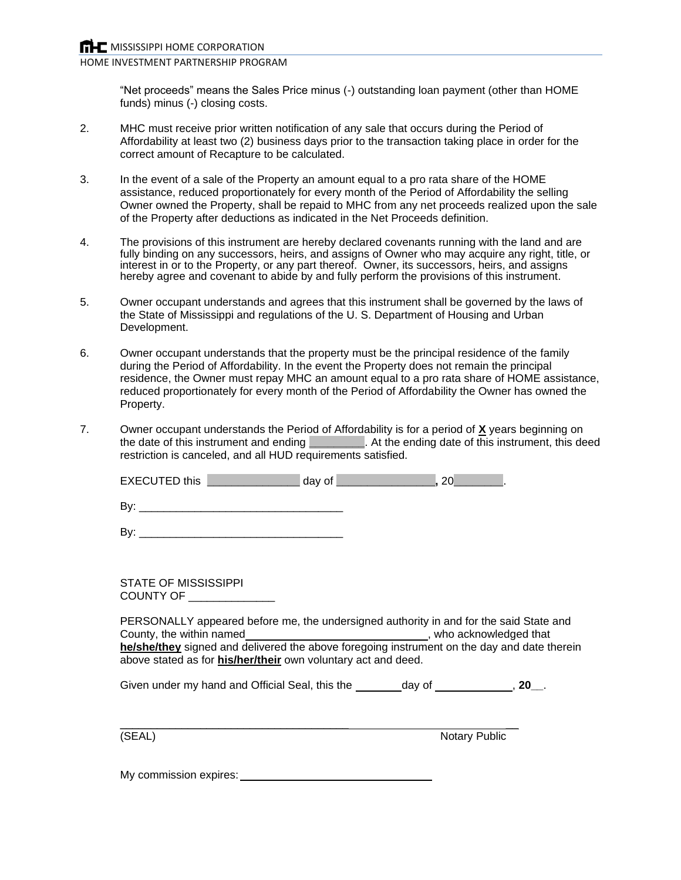HOME INVESTMENT PARTNERSHIP PROGRAM

"Net proceeds" means the Sales Price minus (-) outstanding loan payment (other than HOME funds) minus (-) closing costs.

- 2. MHC must receive prior written notification of any sale that occurs during the Period of Affordability at least two (2) business days prior to the transaction taking place in order for the correct amount of Recapture to be calculated.
- 3. In the event of a sale of the Property an amount equal to a pro rata share of the HOME assistance, reduced proportionately for every month of the Period of Affordability the selling Owner owned the Property, shall be repaid to MHC from any net proceeds realized upon the sale of the Property after deductions as indicated in the Net Proceeds definition.
- 4. The provisions of this instrument are hereby declared covenants running with the land and are fully binding on any successors, heirs, and assigns of Owner who may acquire any right, title, or interest in or to the Property, or any part thereof. Owner, its successors, heirs, and assigns hereby agree and covenant to abide by and fully perform the provisions of this instrument.
- 5. Owner occupant understands and agrees that this instrument shall be governed by the laws of the State of Mississippi and regulations of the U. S. Department of Housing and Urban Development.
- 6. Owner occupant understands that the property must be the principal residence of the family during the Period of Affordability. In the event the Property does not remain the principal residence, the Owner must repay MHC an amount equal to a pro rata share of HOME assistance, reduced proportionately for every month of the Period of Affordability the Owner has owned the Property.
- 7. Owner occupant understands the Period of Affordability is for a period of **X** years beginning on the date of this instrument and ending **\_\_\_\_\_\_\_\_\_**. At the ending date of this instrument, this deed restriction is canceled, and all HUD requirements satisfied.

| <b>EXECUTED this</b> |  |  |  |  |  |
|----------------------|--|--|--|--|--|
|----------------------|--|--|--|--|--|

| ┍<br>. .<br>. . |  |
|-----------------|--|
|                 |  |

By: \_\_\_\_\_\_\_\_\_\_\_\_\_\_\_\_\_\_\_\_\_\_\_\_\_\_\_\_\_\_\_\_\_

STATE OF MISSISSIPPI COUNTY OF \_\_\_\_\_\_\_\_\_\_\_\_\_\_

PERSONALLY appeared before me, the undersigned authority in and for the said State and County, the within named<br> **County, the within named**<br> **County**, who acknowledged that **he/she/they** signed and delivered the above foregoing instrument on the day and date therein above stated as for **his/her/their** own voluntary act and deed.

Given under my hand and Official Seal, this the day of **container that is a set of the day of the day of day of the day of day of day of day of day of day of the day of day of the day of the day of the day of the day of th** 

\_\_\_\_\_\_\_\_\_\_\_\_\_\_\_\_\_\_\_\_\_\_\_\_\_\_\_\_\_\_\_\_\_\_\_\_\_ \_\_ (SEAL) Notary Public

My commission expires: